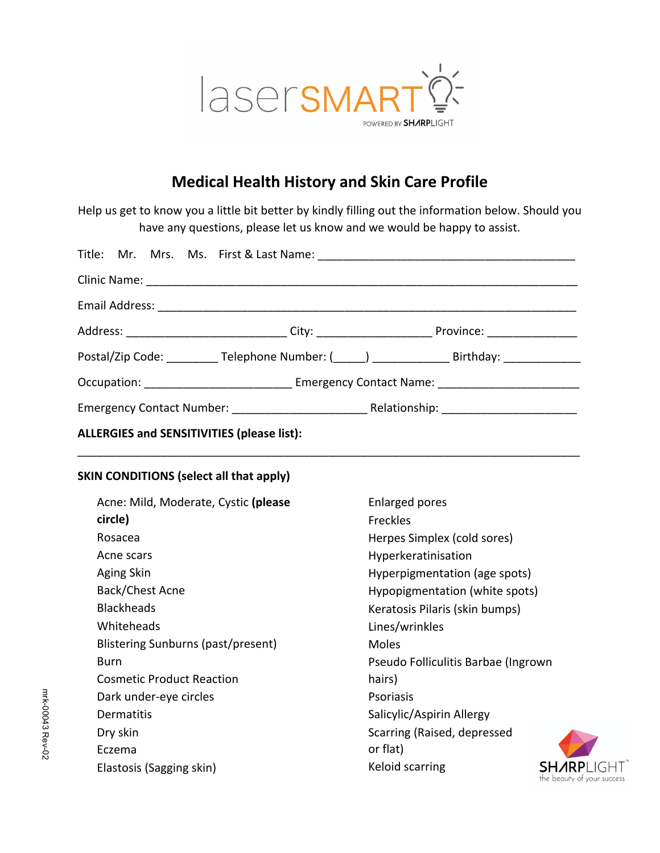

# **Medical Health History and Skin Care Profile**

Help us get to know you a little bit better by kindly filling out the information below. Should you have any questions, please let us know and we would be happy to assist.

|                                                   |  | Postal/Zip Code: ___________Telephone Number: (_____) ________________________Birthday: ________ |                            |  |
|---------------------------------------------------|--|--------------------------------------------------------------------------------------------------|----------------------------|--|
|                                                   |  | Occupation: Communication of Contact Name: Contact Name: Contact Name:                           |                            |  |
|                                                   |  |                                                                                                  |                            |  |
| <b>ALLERGIES and SENSITIVITIES (please list):</b> |  |                                                                                                  |                            |  |
| <b>SKIN CONDITIONS (select all that apply)</b>    |  |                                                                                                  |                            |  |
| Acne: Mild, Moderate, Cystic (please              |  | <b>Enlarged pores</b>                                                                            |                            |  |
| circle)                                           |  | <b>Freckles</b>                                                                                  |                            |  |
| Rosacea                                           |  | Herpes Simplex (cold sores)                                                                      |                            |  |
| Acne scars                                        |  | Hyperkeratinisation                                                                              |                            |  |
| Aging Skin                                        |  | Hyperpigmentation (age spots)                                                                    |                            |  |
| Back/Chest Acne                                   |  | Hypopigmentation (white spots)                                                                   |                            |  |
| <b>Blackheads</b>                                 |  | Keratosis Pilaris (skin bumps)                                                                   |                            |  |
| Whiteheads                                        |  | Lines/wrinkles                                                                                   |                            |  |
| <b>Blistering Sunburns (past/present)</b>         |  | <b>Moles</b>                                                                                     |                            |  |
| Burn                                              |  | Pseudo Folliculitis Barbae (Ingrown                                                              |                            |  |
| <b>Cosmetic Product Reaction</b>                  |  | hairs)                                                                                           |                            |  |
| Dark under-eye circles                            |  | Psoriasis                                                                                        |                            |  |
| <b>Dermatitis</b>                                 |  | Salicylic/Aspirin Allergy                                                                        |                            |  |
| Dry skin                                          |  | Scarring (Raised, depressed                                                                      |                            |  |
| Eczema                                            |  | or flat)                                                                                         |                            |  |
| Elastosis (Sagging skin)                          |  | Keloid scarring                                                                                  | the beauty of your success |  |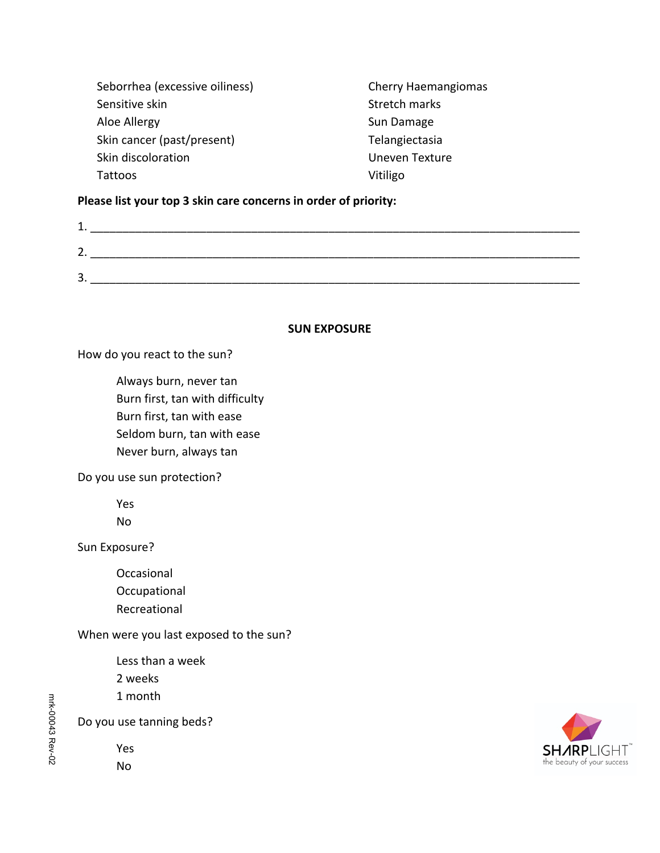| Seborrhea (excessive oiliness) | <b>Cherry Haemangiomas</b> |
|--------------------------------|----------------------------|
| Sensitive skin                 | Stretch marks              |
| Aloe Allergy                   | Sun Damage                 |
| Skin cancer (past/present)     | Telangiectasia             |
| Skin discoloration             | Uneven Texture             |
| Tattoos                        | Vitiligo                   |

## **Please list your top 3 skin care concerns in order of priority:**

| <u>.</u>     |  |  |
|--------------|--|--|
| -<br>-4<br>ັ |  |  |
|              |  |  |

#### **SUN EXPOSURE**

How do you react to the sun?

 Always burn, never tan Burn first, tan with difficulty Burn first, tan with ease Seldom burn, tan with ease Never burn, always tan

Do you use sun protection?

 Yes No

Sun Exposure?

 Occasional **Occupational** Recreational

When were you last exposed to the sun?

 Less than a week 2 weeks 1 month

Do you use tanning beds?

 Yes No

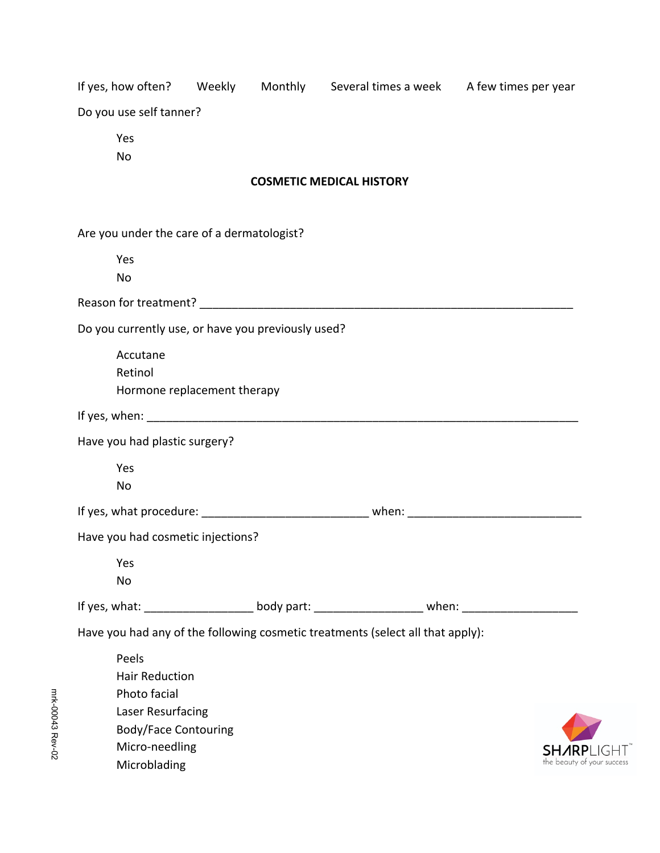|                                                                                |  |                                 | If yes, how often? Weekly Monthly Several times a week A few times per year                          |  |
|--------------------------------------------------------------------------------|--|---------------------------------|------------------------------------------------------------------------------------------------------|--|
| Do you use self tanner?                                                        |  |                                 |                                                                                                      |  |
| Yes<br>No                                                                      |  |                                 |                                                                                                      |  |
|                                                                                |  | <b>COSMETIC MEDICAL HISTORY</b> |                                                                                                      |  |
| Are you under the care of a dermatologist?                                     |  |                                 |                                                                                                      |  |
| Yes                                                                            |  |                                 |                                                                                                      |  |
| No                                                                             |  |                                 |                                                                                                      |  |
|                                                                                |  |                                 |                                                                                                      |  |
| Do you currently use, or have you previously used?                             |  |                                 |                                                                                                      |  |
| Accutane<br>Retinol                                                            |  |                                 |                                                                                                      |  |
| Hormone replacement therapy                                                    |  |                                 |                                                                                                      |  |
|                                                                                |  |                                 |                                                                                                      |  |
| Have you had plastic surgery?                                                  |  |                                 |                                                                                                      |  |
| Yes<br>No                                                                      |  |                                 |                                                                                                      |  |
|                                                                                |  |                                 | If yes, what procedure: __________________________________ when: ___________________________________ |  |
| Have you had cosmetic injections?                                              |  |                                 |                                                                                                      |  |
| Yes                                                                            |  |                                 |                                                                                                      |  |
| No                                                                             |  |                                 |                                                                                                      |  |
|                                                                                |  |                                 | If yes, what: ______________________body part: _________________________ when: _____________________ |  |
| Have you had any of the following cosmetic treatments (select all that apply): |  |                                 |                                                                                                      |  |
| Peels<br><b>Hair Reduction</b>                                                 |  |                                 |                                                                                                      |  |
| Photo facial                                                                   |  |                                 |                                                                                                      |  |
| Laser Resurfacing                                                              |  |                                 |                                                                                                      |  |
| <b>Body/Face Contouring</b>                                                    |  |                                 |                                                                                                      |  |
| Micro-needling<br>Microblading                                                 |  |                                 | the beauty of your success                                                                           |  |
|                                                                                |  |                                 |                                                                                                      |  |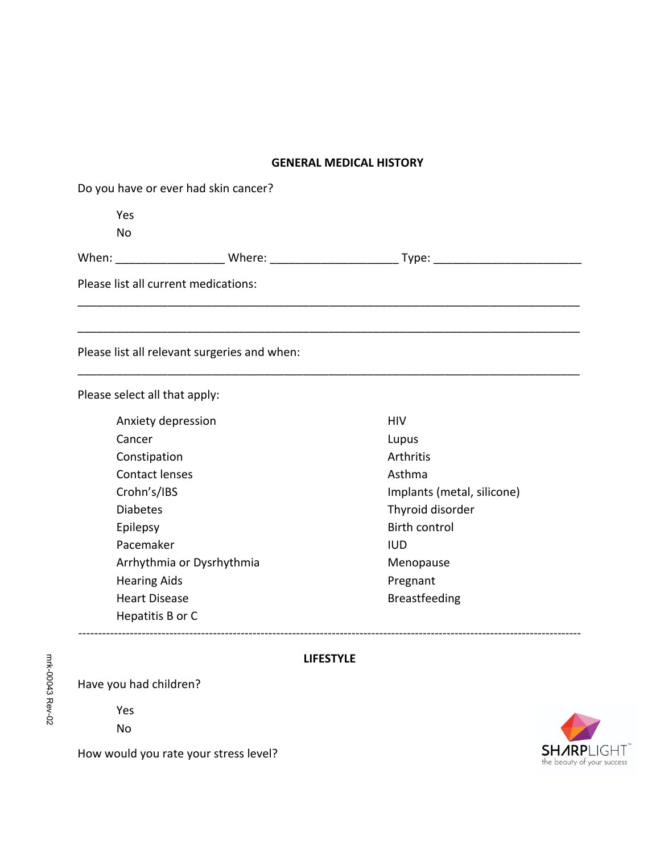### **GENERAL MEDICAL HISTORY**

| Do you have or ever had skin cancer? |                                              |                            |  |  |  |
|--------------------------------------|----------------------------------------------|----------------------------|--|--|--|
| Yes                                  |                                              |                            |  |  |  |
| No                                   |                                              |                            |  |  |  |
|                                      |                                              |                            |  |  |  |
| Please list all current medications: |                                              |                            |  |  |  |
|                                      |                                              |                            |  |  |  |
|                                      | Please list all relevant surgeries and when: |                            |  |  |  |
| Please select all that apply:        |                                              |                            |  |  |  |
| Anxiety depression                   |                                              | <b>HIV</b>                 |  |  |  |
| Cancer                               |                                              | Lupus                      |  |  |  |
| Constipation                         |                                              | Arthritis                  |  |  |  |
| <b>Contact lenses</b>                |                                              | Asthma                     |  |  |  |
| Crohn's/IBS                          |                                              | Implants (metal, silicone) |  |  |  |

-------------------------------------------------------------------------------------------------------------------------------

**LIFESTYLE**

| Anxiety depression        | HIV                  |
|---------------------------|----------------------|
| Cancer                    | Lupus                |
| Constipation              | Arthritis            |
| Contact lenses            | Asthma               |
| Crohn's/IBS               | Implants (metal,     |
| <b>Diabetes</b>           | Thyroid disorder     |
| Epilepsy                  | <b>Birth control</b> |
| Pacemaker                 | IUD.                 |
| Arrhythmia or Dysrhythmia | Menopause            |
| <b>Hearing Aids</b>       | Pregnant             |
| <b>Heart Disease</b>      | <b>Breastfeeding</b> |
| Hepatitis B or C          |                      |

How would you rate your stress level?

Have you had children?

 Yes No